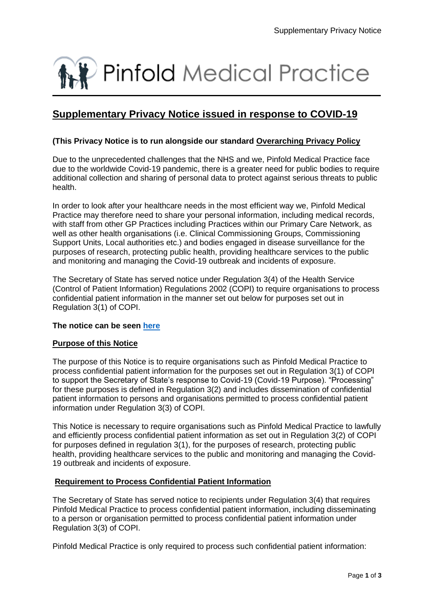

# **Supplementary Privacy Notice issued in response to COVID-19**

## **(This Privacy Notice is to run alongside our standard Overarching Privacy Policy**

Due to the unprecedented challenges that the NHS and we, Pinfold Medical Practice face due to the worldwide Covid-19 pandemic, there is a greater need for public bodies to require additional collection and sharing of personal data to protect against serious threats to public health.

In order to look after your healthcare needs in the most efficient way we, Pinfold Medical Practice may therefore need to share your personal information, including medical records, with staff from other GP Practices including Practices within our Primary Care Network, as well as other health organisations (i.e. Clinical Commissioning Groups, Commissioning Support Units, Local authorities etc.) and bodies engaged in disease surveillance for the purposes of research, protecting public health, providing healthcare services to the public and monitoring and managing the Covid-19 outbreak and incidents of exposure.

The Secretary of State has served notice under Regulation 3(4) of the Health Service (Control of Patient Information) Regulations 2002 (COPI) to require organisations to process confidential patient information in the manner set out below for purposes set out in Regulation 3(1) of COPI.

## **The notice can be seen [here](https://www.gov.uk/government/publications/coronavirus-covid-19-notification-of-data-controllers-to-share-information)**

## **Purpose of this Notice**

The purpose of this Notice is to require organisations such as Pinfold Medical Practice to process confidential patient information for the purposes set out in Regulation 3(1) of COPI to support the Secretary of State's response to Covid-19 (Covid-19 Purpose). "Processing" for these purposes is defined in Regulation 3(2) and includes dissemination of confidential patient information to persons and organisations permitted to process confidential patient information under Regulation 3(3) of COPI.

This Notice is necessary to require organisations such as Pinfold Medical Practice to lawfully and efficiently process confidential patient information as set out in Regulation 3(2) of COPI for purposes defined in regulation 3(1), for the purposes of research, protecting public health, providing healthcare services to the public and monitoring and managing the Covid-19 outbreak and incidents of exposure.

# **Requirement to Process Confidential Patient Information**

The Secretary of State has served notice to recipients under Regulation 3(4) that requires Pinfold Medical Practice to process confidential patient information, including disseminating to a person or organisation permitted to process confidential patient information under Regulation 3(3) of COPI.

Pinfold Medical Practice is only required to process such confidential patient information: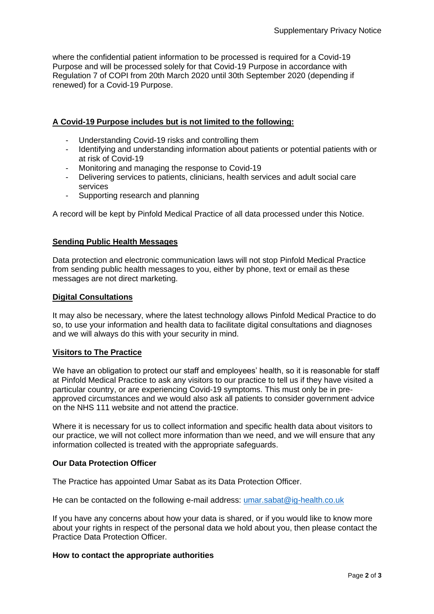where the confidential patient information to be processed is required for a Covid-19 Purpose and will be processed solely for that Covid-19 Purpose in accordance with Regulation 7 of COPI from 20th March 2020 until 30th September 2020 (depending if renewed) for a Covid-19 Purpose.

# **A Covid-19 Purpose includes but is not limited to the following:**

- Understanding Covid-19 risks and controlling them
- Identifying and understanding information about patients or potential patients with or at risk of Covid-19
- Monitoring and managing the response to Covid-19
- Delivering services to patients, clinicians, health services and adult social care services
- Supporting research and planning

A record will be kept by Pinfold Medical Practice of all data processed under this Notice.

## **Sending Public Health Messages**

Data protection and electronic communication laws will not stop Pinfold Medical Practice from sending public health messages to you, either by phone, text or email as these messages are not direct marketing.

## **Digital Consultations**

It may also be necessary, where the latest technology allows Pinfold Medical Practice to do so, to use your information and health data to facilitate digital consultations and diagnoses and we will always do this with your security in mind.

## **Visitors to The Practice**

We have an obligation to protect our staff and employees' health, so it is reasonable for staff at Pinfold Medical Practice to ask any visitors to our practice to tell us if they have visited a particular country, or are experiencing Covid-19 symptoms. This must only be in preapproved circumstances and we would also ask all patients to consider government advice on the NHS 111 website and not attend the practice.

Where it is necessary for us to collect information and specific health data about visitors to our practice, we will not collect more information than we need, and we will ensure that any information collected is treated with the appropriate safeguards.

## **Our Data Protection Officer**

The Practice has appointed Umar Sabat as its Data Protection Officer.

He can be contacted on the following e-mail address: [umar.sabat@ig-health.co.uk](mailto:umar.sabat@ig-health.co.uk)

If you have any concerns about how your data is shared, or if you would like to know more about your rights in respect of the personal data we hold about you, then please contact the Practice Data Protection Officer.

## **How to contact the appropriate authorities**